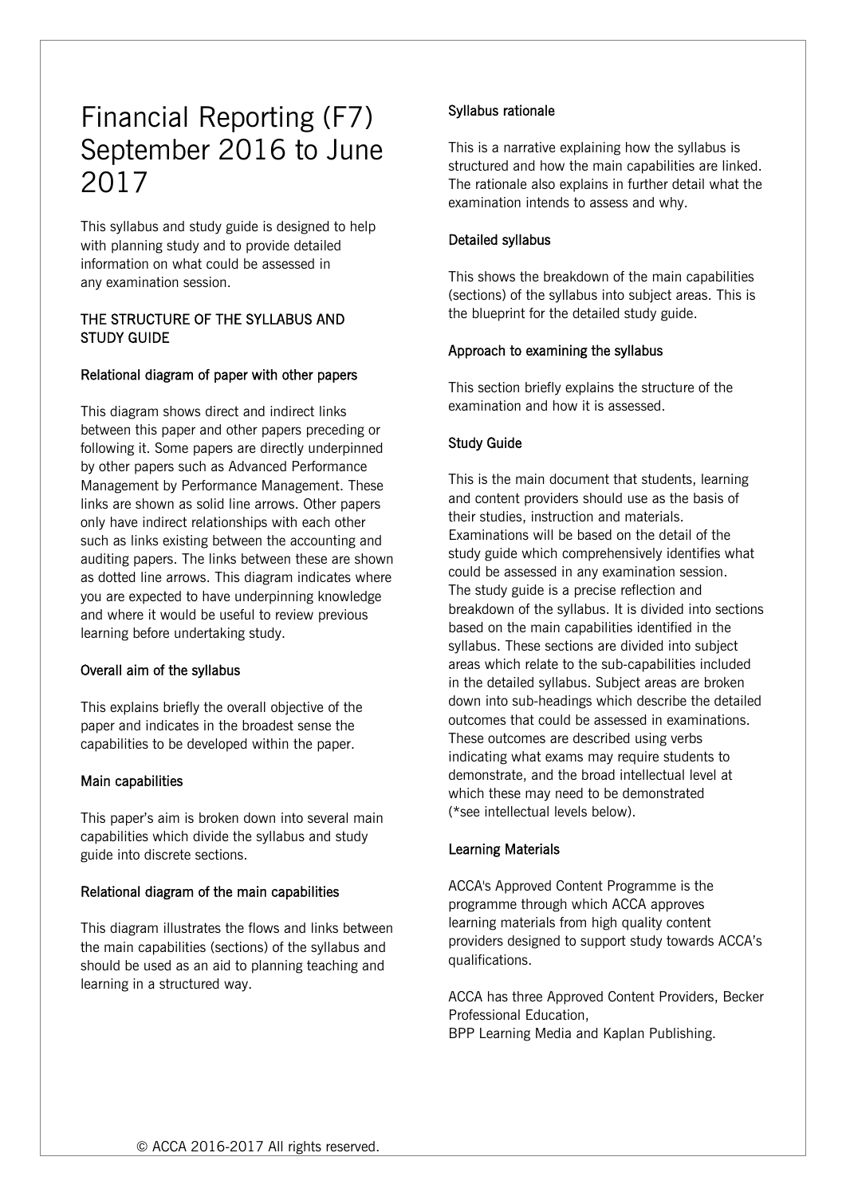# Financial Reporting (F7) September 2016 to June 2017

This syllabus and study guide is designed to help with planning study and to provide detailed information on what could be assessed in any examination session.

## THE STRUCTURE OF THE SYLLABUS AND STUDY GUIDE

## Relational diagram of paper with other papers

This diagram shows direct and indirect links between this paper and other papers preceding or following it. Some papers are directly underpinned by other papers such as Advanced Performance Management by Performance Management. These links are shown as solid line arrows. Other papers only have indirect relationships with each other such as links existing between the accounting and auditing papers. The links between these are shown as dotted line arrows. This diagram indicates where you are expected to have underpinning knowledge and where it would be useful to review previous learning before undertaking study.

#### Overall aim of the syllabus

This explains briefly the overall objective of the paper and indicates in the broadest sense the capabilities to be developed within the paper.

## Main capabilities

This paper's aim is broken down into several main capabilities which divide the syllabus and study guide into discrete sections.

## Relational diagram of the main capabilities

This diagram illustrates the flows and links between the main capabilities (sections) of the syllabus and should be used as an aid to planning teaching and learning in a structured way.

# Syllabus rationale

This is a narrative explaining how the syllabus is structured and how the main capabilities are linked. The rationale also explains in further detail what the examination intends to assess and why.

## Detailed syllabus

This shows the breakdown of the main capabilities (sections) of the syllabus into subject areas. This is the blueprint for the detailed study guide.

## Approach to examining the syllabus

This section briefly explains the structure of the examination and how it is assessed.

## Study Guide

This is the main document that students, learning and content providers should use as the basis of their studies, instruction and materials. Examinations will be based on the detail of the study guide which comprehensively identifies what could be assessed in any examination session. The study guide is a precise reflection and breakdown of the syllabus. It is divided into sections based on the main capabilities identified in the syllabus. These sections are divided into subject areas which relate to the sub-capabilities included in the detailed syllabus. Subject areas are broken down into sub-headings which describe the detailed outcomes that could be assessed in examinations. These outcomes are described using verbs indicating what exams may require students to demonstrate, and the broad intellectual level at which these may need to be demonstrated (\*see intellectual levels below).

#### Learning Materials

ACCA's Approved Content Programme is the programme through which ACCA approves learning materials from high quality content providers designed to support study towards ACCA's qualifications.

ACCA has three Approved Content Providers, Becker Professional Education, BPP Learning Media and Kaplan Publishing.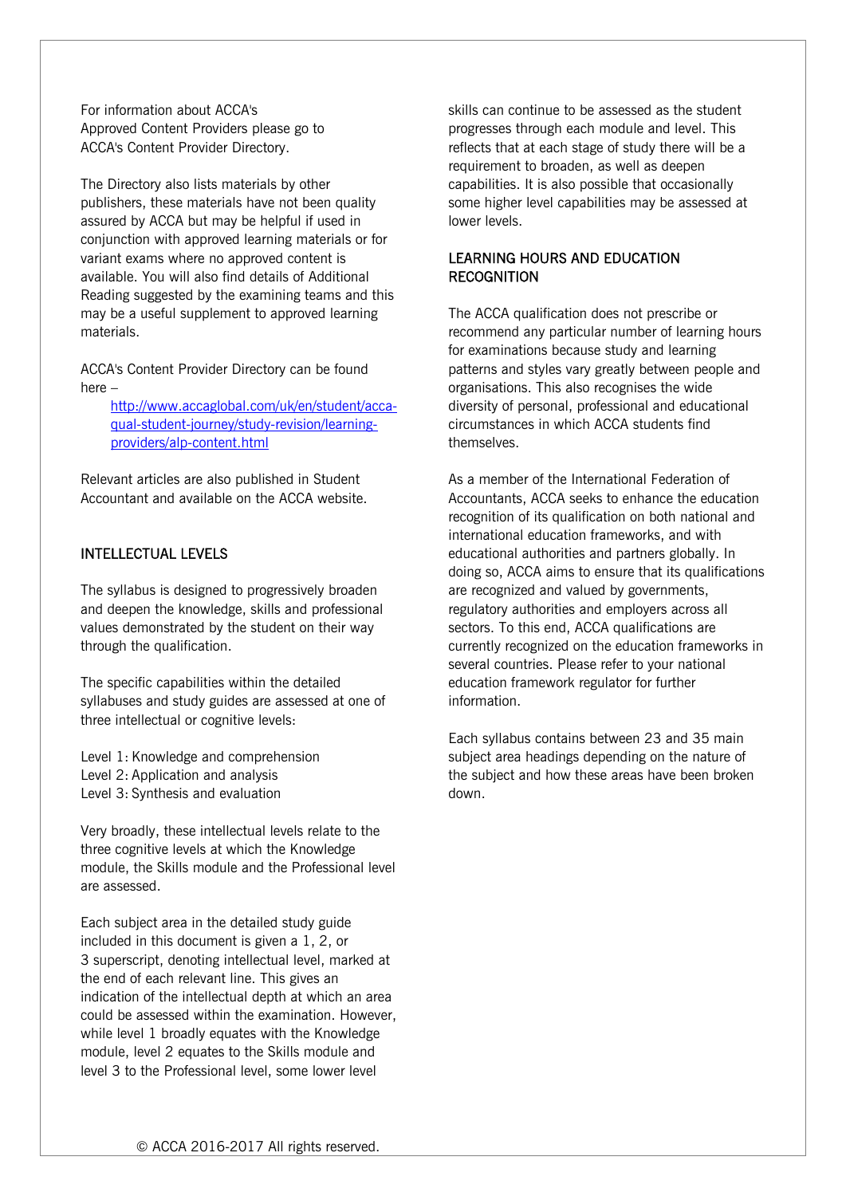For information about ACCA's Approved Content Providers please go to ACCA's Content Provider Directory.

The Directory also lists materials by other publishers, these materials have not been quality assured by ACCA but may be helpful if used in conjunction with approved learning materials or for variant exams where no approved content is available. You will also find details of Additional Reading suggested by the examining teams and this may be a useful supplement to approved learning materials.

ACCA's Content Provider Directory can be found here –

> http://www.accaglobal.com/uk/en/student/accaqual-student-journey/study-revision/learningproviders/alp-content.html

Relevant articles are also published in Student Accountant and available on the ACCA website.

# INTELLECTUAL LEVELS

The syllabus is designed to progressively broaden and deepen the knowledge, skills and professional values demonstrated by the student on their way through the qualification.

The specific capabilities within the detailed syllabuses and study guides are assessed at one of three intellectual or cognitive levels:

Level 1: Knowledge and comprehension

- Level 2: Application and analysis
- Level 3: Synthesis and evaluation

Very broadly, these intellectual levels relate to the three cognitive levels at which the Knowledge module, the Skills module and the Professional level are assessed.

Each subject area in the detailed study guide included in this document is given a 1, 2, or 3 superscript, denoting intellectual level, marked at the end of each relevant line. This gives an indication of the intellectual depth at which an area could be assessed within the examination. However, while level 1 broadly equates with the Knowledge module, level 2 equates to the Skills module and level 3 to the Professional level, some lower level

skills can continue to be assessed as the student progresses through each module and level. This reflects that at each stage of study there will be a requirement to broaden, as well as deepen capabilities. It is also possible that occasionally some higher level capabilities may be assessed at lower levels.

## LEARNING HOURS AND EDUCATION **RECOGNITION**

The ACCA qualification does not prescribe or recommend any particular number of learning hours for examinations because study and learning patterns and styles vary greatly between people and organisations. This also recognises the wide diversity of personal, professional and educational circumstances in which ACCA students find themselves.

As a member of the International Federation of Accountants, ACCA seeks to enhance the education recognition of its qualification on both national and international education frameworks, and with educational authorities and partners globally. In doing so, ACCA aims to ensure that its qualifications are recognized and valued by governments, regulatory authorities and employers across all sectors. To this end, ACCA qualifications are currently recognized on the education frameworks in several countries. Please refer to your national education framework regulator for further information.

Each syllabus contains between 23 and 35 main subject area headings depending on the nature of the subject and how these areas have been broken down.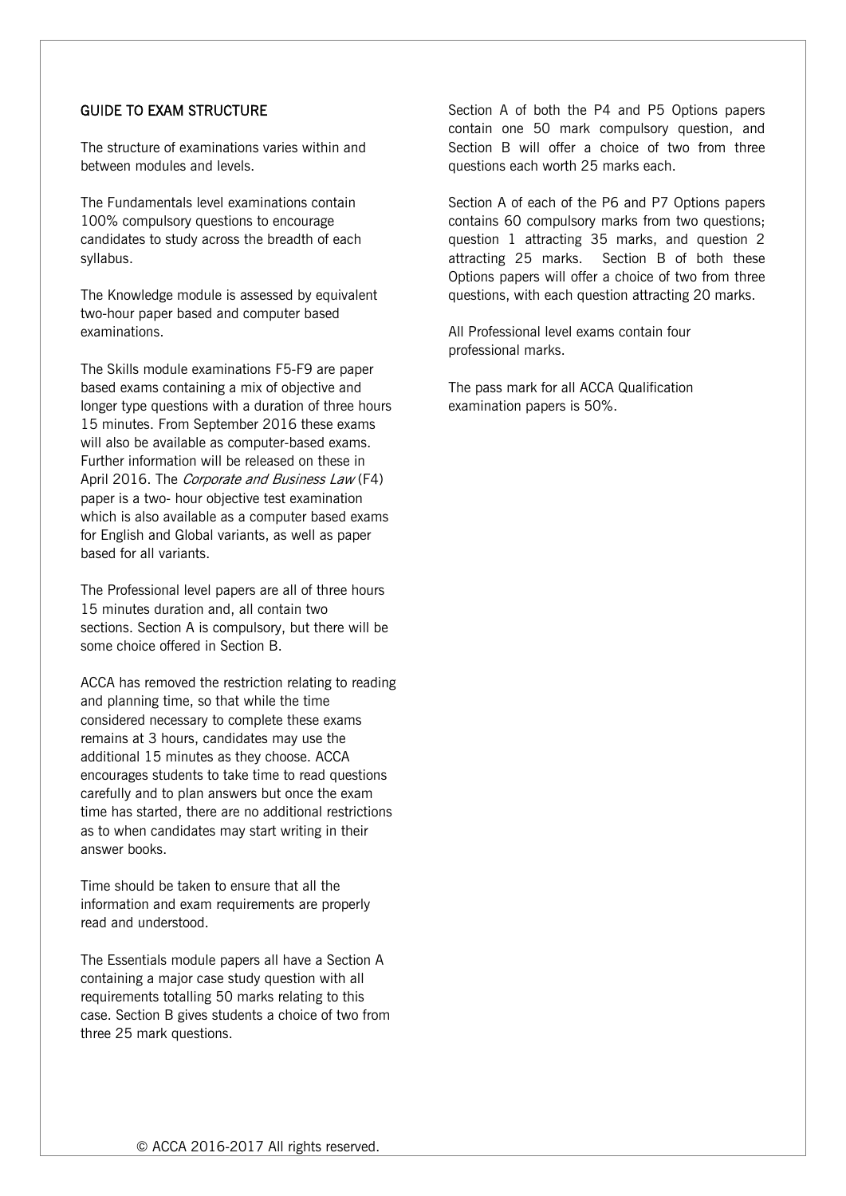# GUIDE TO EXAM STRUCTURE

The structure of examinations varies within and between modules and levels.

The Fundamentals level examinations contain 100% compulsory questions to encourage candidates to study across the breadth of each syllabus.

The Knowledge module is assessed by equivalent two-hour paper based and computer based examinations.

The Skills module examinations F5-F9 are paper based exams containing a mix of objective and longer type questions with a duration of three hours 15 minutes. From September 2016 these exams will also be available as computer-based exams. Further information will be released on these in April 2016. The Corporate and Business Law (F4) paper is a two- hour objective test examination which is also available as a computer based exams for English and Global variants, as well as paper based for all variants.

The Professional level papers are all of three hours 15 minutes duration and, all contain two sections. Section A is compulsory, but there will be some choice offered in Section B.

ACCA has removed the restriction relating to reading and planning time, so that while the time considered necessary to complete these exams remains at 3 hours, candidates may use the additional 15 minutes as they choose. ACCA encourages students to take time to read questions carefully and to plan answers but once the exam time has started, there are no additional restrictions as to when candidates may start writing in their answer books.

Time should be taken to ensure that all the information and exam requirements are properly read and understood.

The Essentials module papers all have a Section A containing a major case study question with all requirements totalling 50 marks relating to this case. Section B gives students a choice of two from three 25 mark questions.

Section A of both the P4 and P5 Options papers contain one 50 mark compulsory question, and Section B will offer a choice of two from three questions each worth 25 marks each.

Section A of each of the P6 and P7 Options papers contains 60 compulsory marks from two questions; question 1 attracting 35 marks, and question 2 attracting 25 marks. Section B of both these Options papers will offer a choice of two from three questions, with each question attracting 20 marks.

All Professional level exams contain four professional marks.

The pass mark for all ACCA Qualification examination papers is 50%.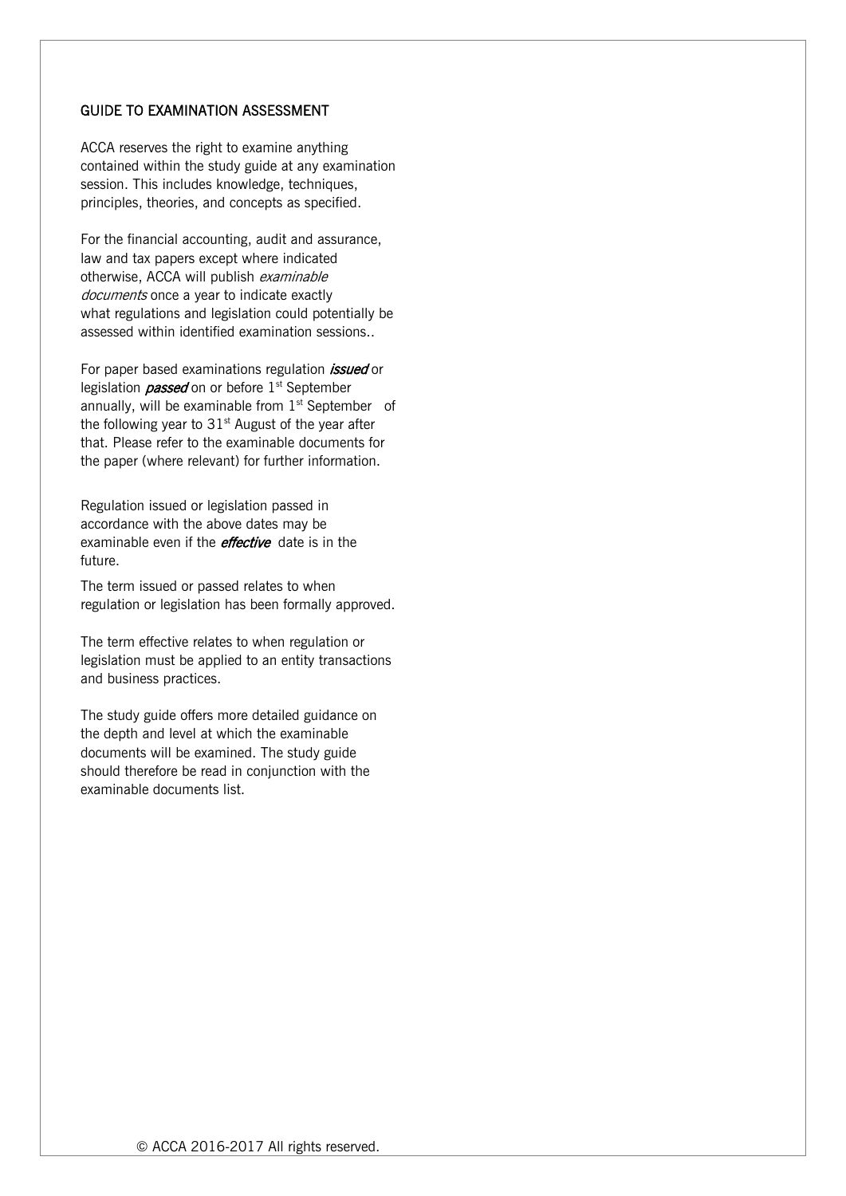#### GUIDE TO EXAMINATION ASSESSMENT

ACCA reserves the right to examine anything contained within the study guide at any examination session. This includes knowledge, techniques, principles, theories, and concepts as specified.

For the financial accounting, audit and assurance, law and tax papers except where indicated otherwise, ACCA will publish examinable documents once a year to indicate exactly what regulations and legislation could potentially be assessed within identified examination sessions..

For paper based examinations regulation *issued* or legislation *passed* on or before  $1<sup>st</sup>$  September annually, will be examinable from  $1<sup>st</sup>$  September of the following year to  $31<sup>st</sup>$  August of the year after that. Please refer to the examinable documents for the paper (where relevant) for further information.

Regulation issued or legislation passed in accordance with the above dates may be examinable even if the *effective* date is in the future.

The term issued or passed relates to when regulation or legislation has been formally approved.

The term effective relates to when regulation or legislation must be applied to an entity transactions and business practices.

The study guide offers more detailed guidance on the depth and level at which the examinable documents will be examined. The study guide should therefore be read in conjunction with the examinable documents list.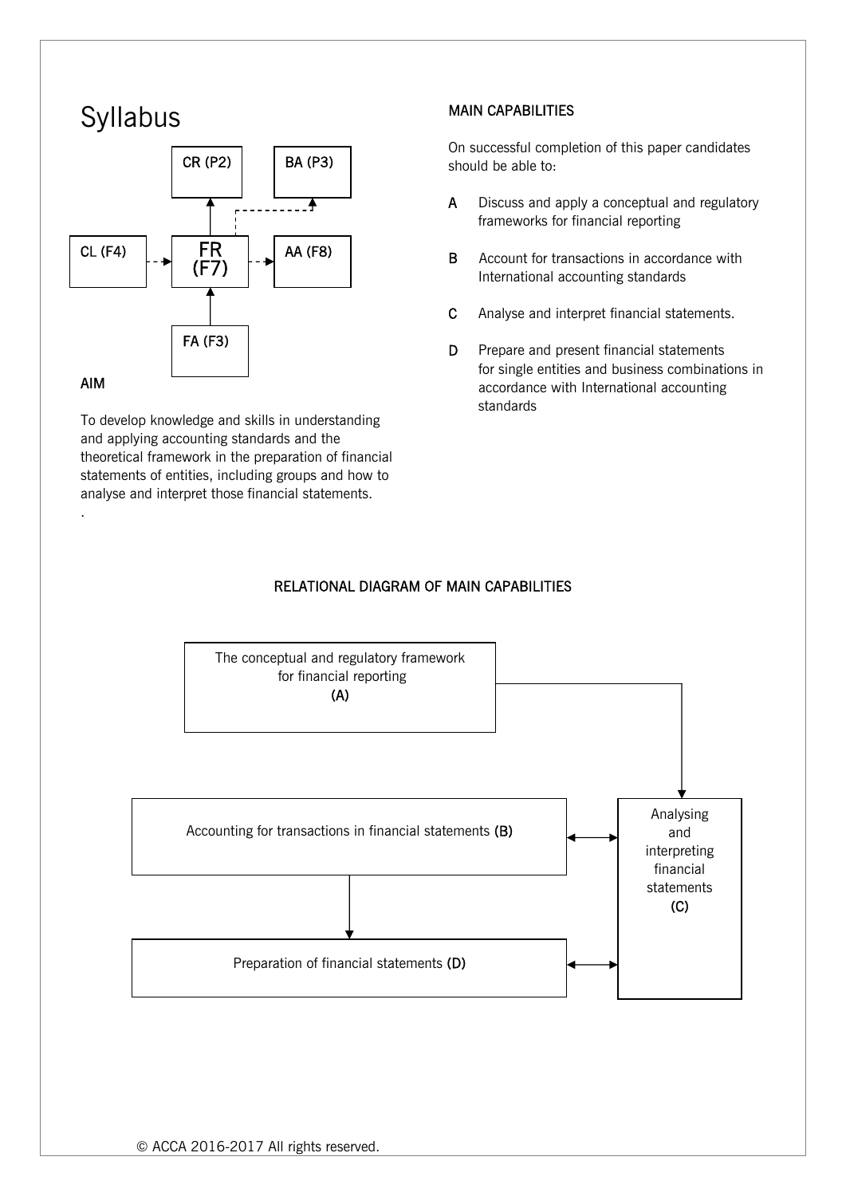# Syllabus



# AIM

.

To develop knowledge and skills in understanding and applying accounting standards and the theoretical framework in the preparation of financial statements of entities, including groups and how to analyse and interpret those financial statements.

# MAIN CAPABILITIES

On successful completion of this paper candidates should be able to:

- A Discuss and apply a conceptual and regulatory frameworks for financial reporting
- B Account for transactions in accordance with International accounting standards
- C Analyse and interpret financial statements.
- D Prepare and present financial statements for single entities and business combinations in accordance with International accounting standards

# RELATIONAL DIAGRAM OF MAIN CAPABILITIES

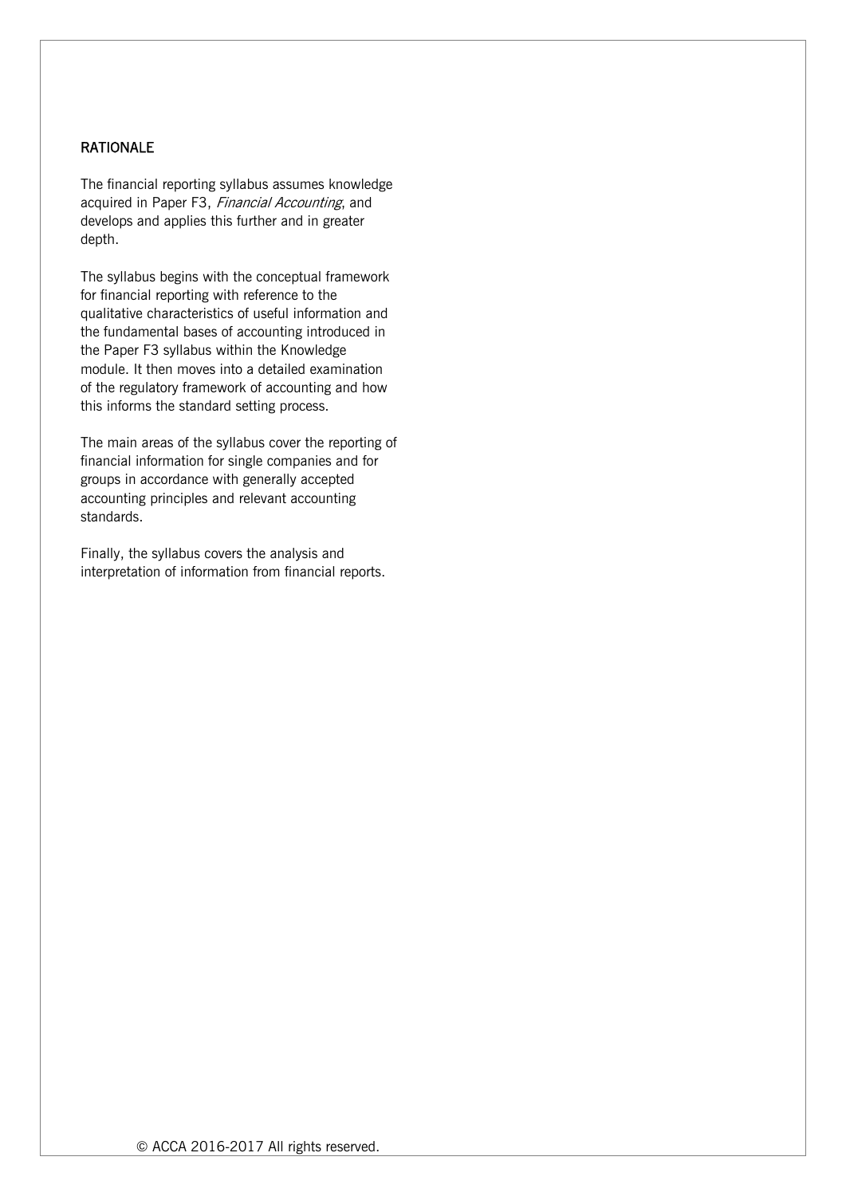## RATIONALE

The financial reporting syllabus assumes knowledge acquired in Paper F3, Financial Accounting, and develops and applies this further and in greater depth.

The syllabus begins with the conceptual framework for financial reporting with reference to the qualitative characteristics of useful information and the fundamental bases of accounting introduced in the Paper F3 syllabus within the Knowledge module. It then moves into a detailed examination of the regulatory framework of accounting and how this informs the standard setting process.

The main areas of the syllabus cover the reporting of financial information for single companies and for groups in accordance with generally accepted accounting principles and relevant accounting standards.

Finally, the syllabus covers the analysis and interpretation of information from financial reports.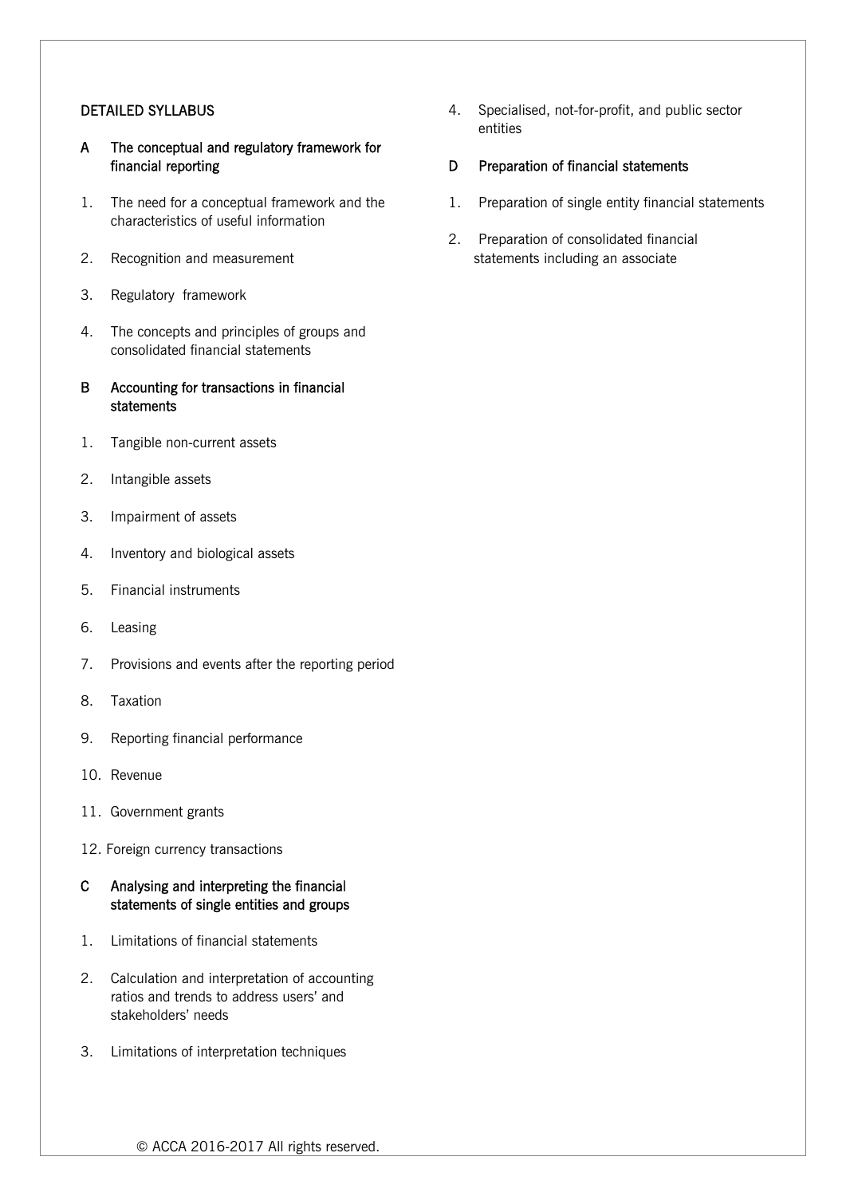#### DETAILED SYLLABUS

- A The conceptual and regulatory framework for financial reporting
- 1. The need for a conceptual framework and the characteristics of useful information
- 2. Recognition and measurement
- 3. Regulatory framework
- 4. The concepts and principles of groups and consolidated financial statements
- B Accounting for transactions in financial statements
- 1. Tangible non-current assets
- 2. Intangible assets
- 3. Impairment of assets
- 4. Inventory and biological assets
- 5. Financial instruments
- 6. Leasing
- 7. Provisions and events after the reporting period
- 8. Taxation
- 9. Reporting financial performance
- 10. Revenue
- 11. Government grants
- 12. Foreign currency transactions

## C Analysing and interpreting the financial statements of single entities and groups

- 1. Limitations of financial statements
- 2. Calculation and interpretation of accounting ratios and trends to address users' and stakeholders' needs
- 3. Limitations of interpretation techniques

4. Specialised, not-for-profit, and public sector entities

## D Preparation of financial statements

- 1. Preparation of single entity financial statements
- 2. Preparation of consolidated financial statements including an associate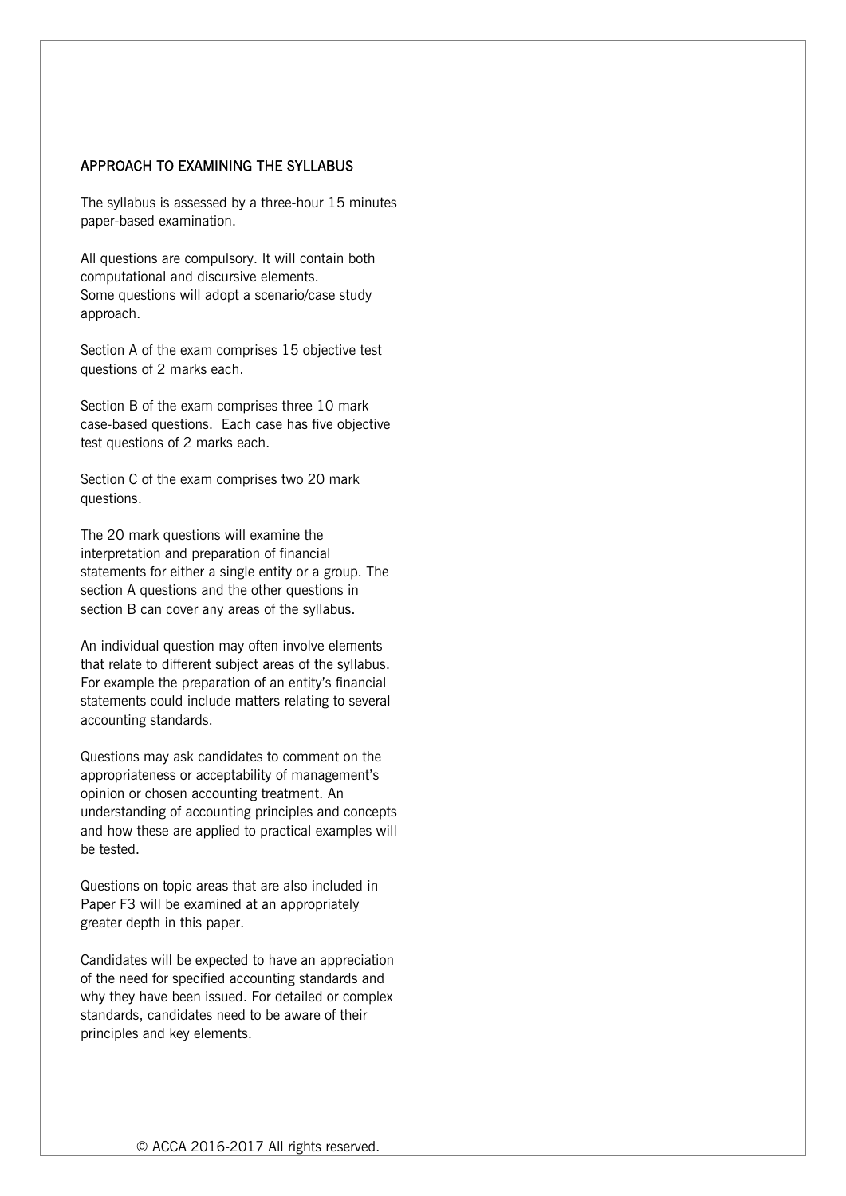#### APPROACH TO EXAMINING THE SYLLABUS

The syllabus is assessed by a three-hour 15 minutes paper-based examination.

All questions are compulsory. It will contain both computational and discursive elements. Some questions will adopt a scenario/case study approach.

Section A of the exam comprises 15 objective test questions of 2 marks each.

Section B of the exam comprises three 10 mark case-based questions. Each case has five objective test questions of 2 marks each.

Section C of the exam comprises two 20 mark questions.

The 20 mark questions will examine the interpretation and preparation of financial statements for either a single entity or a group. The section A questions and the other questions in section B can cover any areas of the syllabus.

An individual question may often involve elements that relate to different subject areas of the syllabus. For example the preparation of an entity's financial statements could include matters relating to several accounting standards.

Questions may ask candidates to comment on the appropriateness or acceptability of management's opinion or chosen accounting treatment. An understanding of accounting principles and concepts and how these are applied to practical examples will be tested.

Questions on topic areas that are also included in Paper F3 will be examined at an appropriately greater depth in this paper.

Candidates will be expected to have an appreciation of the need for specified accounting standards and why they have been issued. For detailed or complex standards, candidates need to be aware of their principles and key elements.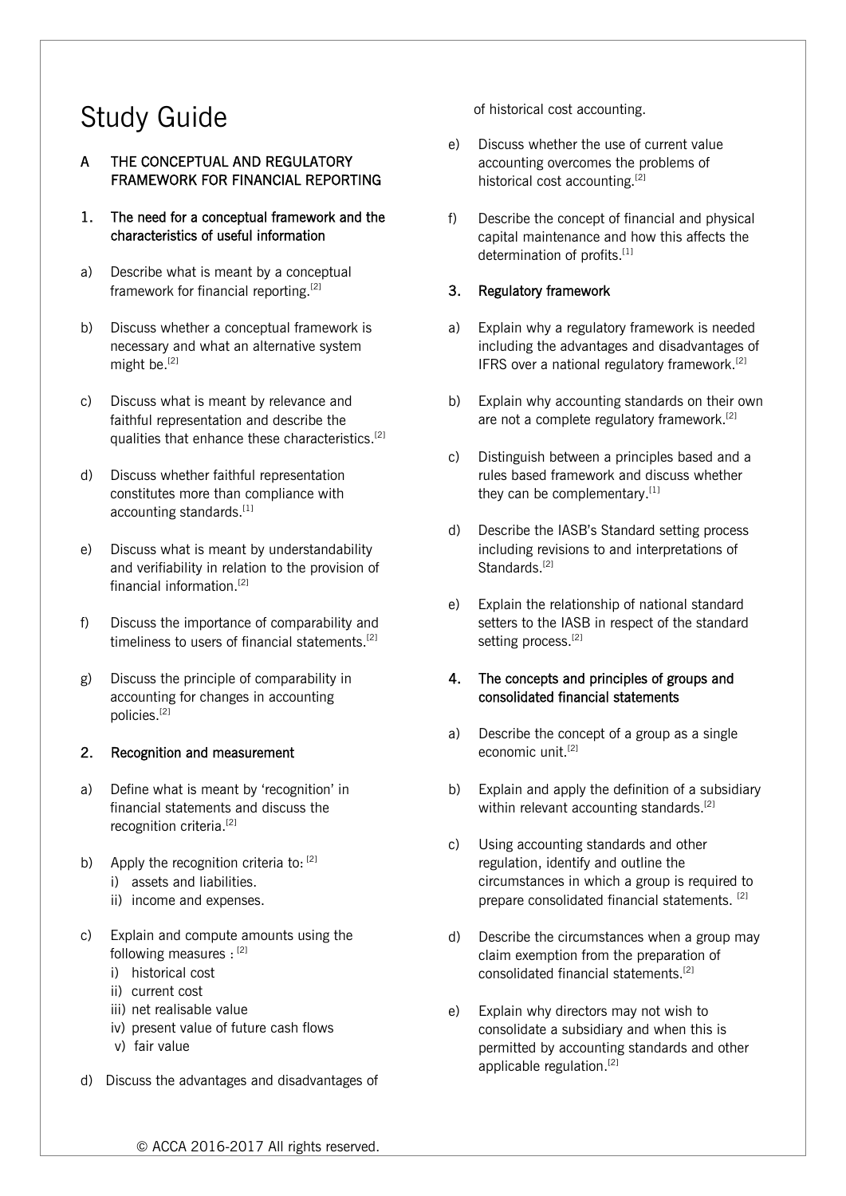# Study Guide

# A THE CONCEPTUAL AND REGULATORY FRAMEWORK FOR FINANCIAL REPORTING

- 1. The need for a conceptual framework and the characteristics of useful information
- a) Describe what is meant by a conceptual framework for financial reporting.[2]
- b) Discuss whether a conceptual framework is necessary and what an alternative system might be.<sup>[2]</sup>
- c) Discuss what is meant by relevance and faithful representation and describe the qualities that enhance these characteristics.<sup>[2]</sup>
- d) Discuss whether faithful representation constitutes more than compliance with accounting standards.<sup>[1]</sup>
- e) Discuss what is meant by understandability and verifiability in relation to the provision of financial information.[2]
- f) Discuss the importance of comparability and timeliness to users of financial statements.<sup>[2]</sup>
- g) Discuss the principle of comparability in accounting for changes in accounting policies.[2]

#### 2. Recognition and measurement

- a) Define what is meant by 'recognition' in financial statements and discuss the recognition criteria.<sup>[2]</sup>
- b) Apply the recognition criteria to:  $[2]$  i) assets and liabilities.
	- ii) income and expenses.
- c) Explain and compute amounts using the following measures : [2]
	- i) historical cost
	- ii) current cost
	- iii) net realisable value
	- iv) present value of future cash flows
	- v) fair value
- d) Discuss the advantages and disadvantages of

of historical cost accounting.

- e) Discuss whether the use of current value accounting overcomes the problems of historical cost accounting.<sup>[2]</sup>
- f) Describe the concept of financial and physical capital maintenance and how this affects the determination of profits.<sup>[1]</sup>

## 3. Regulatory framework

- a) Explain why a regulatory framework is needed including the advantages and disadvantages of IFRS over a national regulatory framework.<sup>[2]</sup>
- b) Explain why accounting standards on their own are not a complete regulatory framework.<sup>[2]</sup>
- c) Distinguish between a principles based and a rules based framework and discuss whether they can be complementary.<sup>[1]</sup>
- d) Describe the IASB's Standard setting process including revisions to and interpretations of Standards.<sup>[2]</sup>
- e) Explain the relationship of national standard setters to the IASB in respect of the standard setting process.<sup>[2]</sup>

## 4. The concepts and principles of groups and consolidated financial statements

- a) Describe the concept of a group as a single economic unit.<sup>[2]</sup>
- b) Explain and apply the definition of a subsidiary within relevant accounting standards.<sup>[2]</sup>
- c) Using accounting standards and other regulation, identify and outline the circumstances in which a group is required to prepare consolidated financial statements.<sup>[2]</sup>
- d) Describe the circumstances when a group may claim exemption from the preparation of consolidated financial statements.[2]
- e) Explain why directors may not wish to consolidate a subsidiary and when this is permitted by accounting standards and other applicable regulation.<sup>[2]</sup>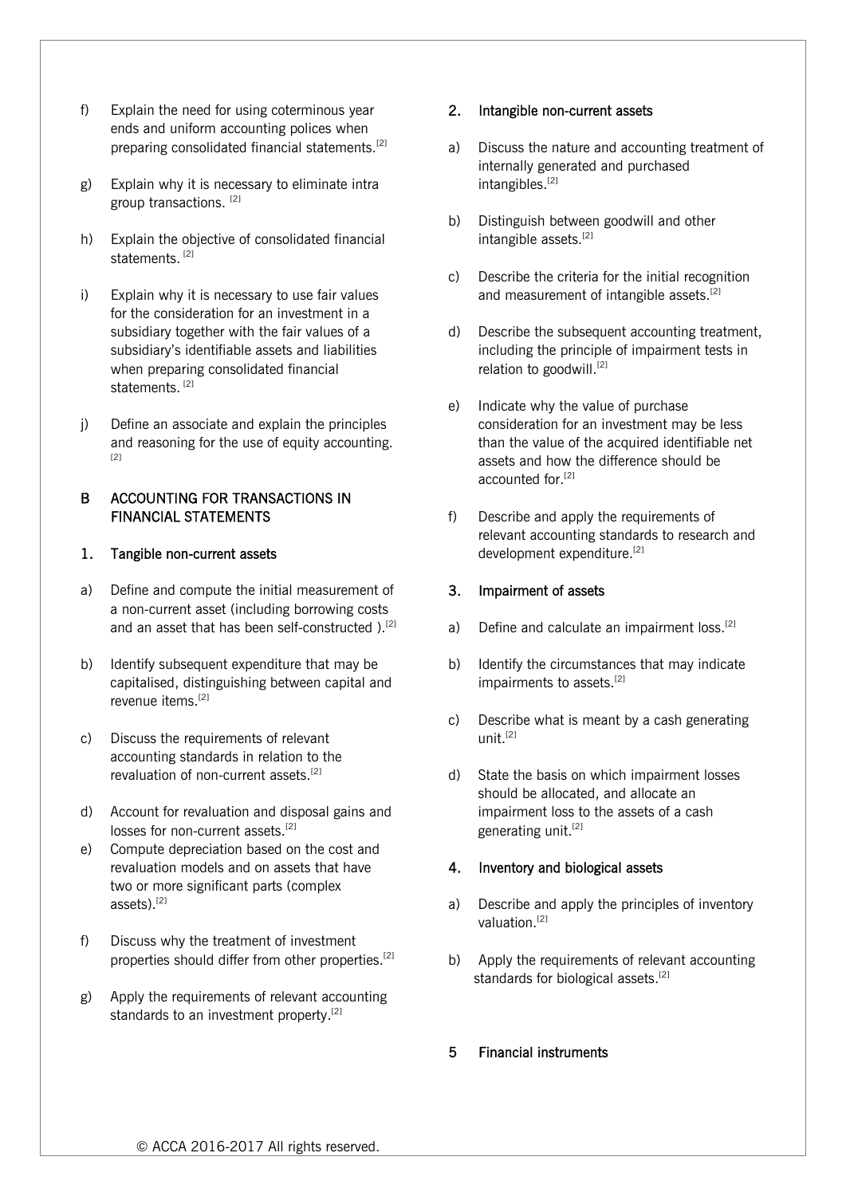- f) Explain the need for using coterminous year ends and uniform accounting polices when preparing consolidated financial statements.[2]
- g) Explain why it is necessary to eliminate intra group transactions. [2]
- h) Explain the objective of consolidated financial statements.<sup>[2]</sup>
- i) Explain why it is necessary to use fair values for the consideration for an investment in a subsidiary together with the fair values of a subsidiary's identifiable assets and liabilities when preparing consolidated financial statements.<sup>[2]</sup>
- j) Define an associate and explain the principles and reasoning for the use of equity accounting. [2]

#### B ACCOUNTING FOR TRANSACTIONS IN FINANCIAL STATEMENTS

#### 1. Tangible non-current assets

- a) Define and compute the initial measurement of a non-current asset (including borrowing costs and an asset that has been self-constructed ).<sup>[2]</sup>
- b) Identify subsequent expenditure that may be capitalised, distinguishing between capital and revenue items.<sup>[2]</sup>
- c) Discuss the requirements of relevant accounting standards in relation to the revaluation of non-current assets.[2]
- d) Account for revaluation and disposal gains and losses for non-current assets.<sup>[2]</sup>
- e) Compute depreciation based on the cost and revaluation models and on assets that have two or more significant parts (complex assets).[2]
- f) Discuss why the treatment of investment properties should differ from other properties.[2]
- g) Apply the requirements of relevant accounting standards to an investment property.<sup>[2]</sup>

#### 2. Intangible non-current assets

- a) Discuss the nature and accounting treatment of internally generated and purchased intangibles.<sup>[2]</sup>
- b) Distinguish between goodwill and other intangible assets.<sup>[2]</sup>
- c) Describe the criteria for the initial recognition and measurement of intangible assets.<sup>[2]</sup>
- d) Describe the subsequent accounting treatment, including the principle of impairment tests in relation to goodwill.<sup>[2]</sup>
- e) Indicate why the value of purchase consideration for an investment may be less than the value of the acquired identifiable net assets and how the difference should be accounted for [2]
- f) Describe and apply the requirements of relevant accounting standards to research and development expenditure.<sup>[2]</sup>

### 3. Impairment of assets

- a) Define and calculate an impairment loss.<sup>[2]</sup>
- b) Identify the circumstances that may indicate impairments to assets.<sup>[2]</sup>
- c) Describe what is meant by a cash generating unit.[2]
- d) State the basis on which impairment losses should be allocated, and allocate an impairment loss to the assets of a cash generating unit.<sup>[2]</sup>

## 4. Inventory and biological assets

- a) Describe and apply the principles of inventory valuation.[2]
- b) Apply the requirements of relevant accounting standards for biological assets.<sup>[2]</sup>

## 5 Financial instruments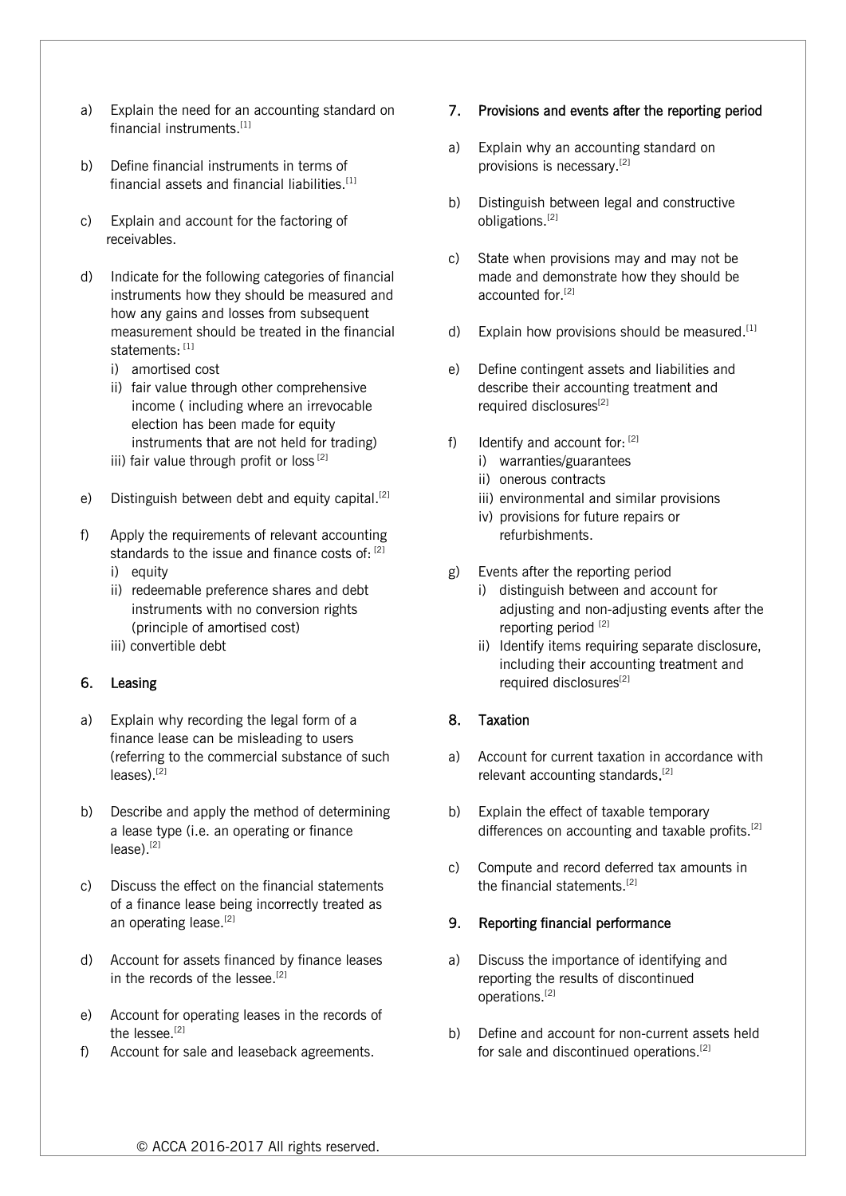- a) Explain the need for an accounting standard on financial instruments.<sup>[1]</sup>
- b) Define financial instruments in terms of financial assets and financial liabilities.<sup>[1]</sup>
- c) Explain and account for the factoring of receivables.
- d) Indicate for the following categories of financial instruments how they should be measured and how any gains and losses from subsequent measurement should be treated in the financial statements: [1]
	- i) amortised cost
	- ii) fair value through other comprehensive income ( including where an irrevocable election has been made for equity instruments that are not held for trading)
	- iii) fair value through profit or loss<sup>[2]</sup>
- e) Distinguish between debt and equity capital.<sup>[2]</sup>
- f) Apply the requirements of relevant accounting standards to the issue and finance costs of:  $[2]$ 
	- i) equity
	- ii) redeemable preference shares and debt instruments with no conversion rights (principle of amortised cost)
	- iii) convertible debt

#### 6. Leasing

- a) Explain why recording the legal form of a finance lease can be misleading to users (referring to the commercial substance of such leases).[2]
- b) Describe and apply the method of determining a lease type (i.e. an operating or finance lease).[2]
- c) Discuss the effect on the financial statements of a finance lease being incorrectly treated as an operating lease.<sup>[2]</sup>
- d) Account for assets financed by finance leases in the records of the lessee.<sup>[2]</sup>
- e) Account for operating leases in the records of the lessee.<sup>[2]</sup>
- f) Account for sale and leaseback agreements.

#### 7. Provisions and events after the reporting period

- a) Explain why an accounting standard on provisions is necessary.[2]
- b) Distinguish between legal and constructive obligations.[2]
- c) State when provisions may and may not be made and demonstrate how they should be accounted for.<sup>[2]</sup>
- d) Explain how provisions should be measured. $^{[1]}$
- e) Define contingent assets and liabilities and describe their accounting treatment and required disclosures<sup>[2]</sup>
- f) Identify and account for:  $[2]$ 
	- i) warranties/guarantees
	- ii) onerous contracts
	- iii) environmental and similar provisions
	- iv) provisions for future repairs or refurbishments.
- g) Events after the reporting period
	- i) distinguish between and account for adjusting and non-adjusting events after the reporting period<sup>[2]</sup>
	- ii) Identify items requiring separate disclosure, including their accounting treatment and required disclosures<sup>[2]</sup>

## 8. Taxation

- a) Account for current taxation in accordance with relevant accounting standards. [2]
- b) Explain the effect of taxable temporary differences on accounting and taxable profits.<sup>[2]</sup>
- c) Compute and record deferred tax amounts in the financial statements.<sup>[2]</sup>

#### 9. Reporting financial performance

- a) Discuss the importance of identifying and reporting the results of discontinued operations.[2]
- b) Define and account for non-current assets held for sale and discontinued operations.[2]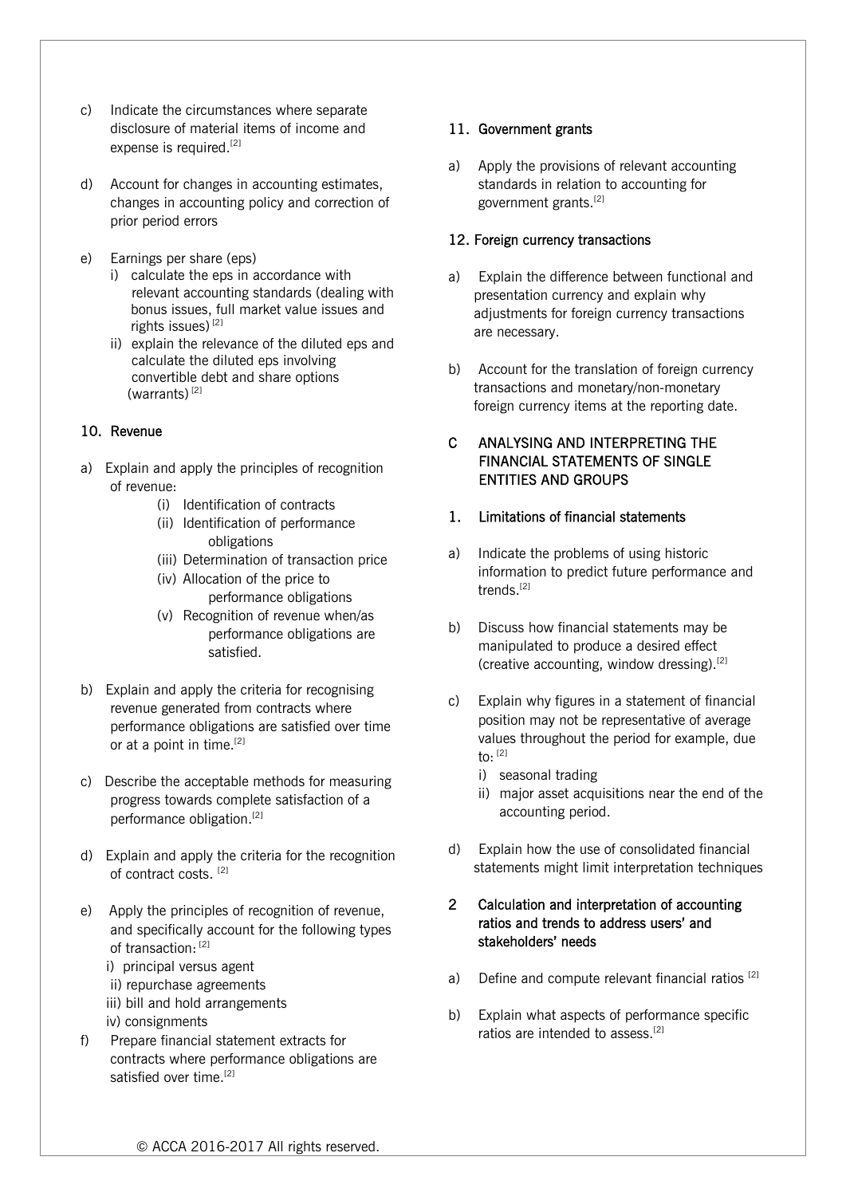- c) Indicate the circumstances where separate disclosure of material items of income and expense is required.<sup>[2]</sup>
- d) Account for changes in accounting estimates, changes in accounting policy and correction of prior period errors
- e) Earnings per share (eps)
	- i) calculate the eps in accordance with relevant accounting standards (dealing with bonus issues, full market value issues and rights issues)<sup>[2]</sup>
	- ii) explain the relevance of the diluted eps and calculate the diluted eps involving convertible debt and share options (warrants) $^{[2]}$

## 10. Revenue

- a) Explain and apply the principles of recognition of revenue:
	- (i) Identification of contracts
	- (ii) Identification of performance obligations
	- (iii) Determination of transaction price
	- (iv) Allocation of the price to performance obligations
	- (v) Recognition of revenue when/as performance obligations are satisfied.
- b) Explain and apply the criteria for recognising revenue generated from contracts where performance obligations are satisfied over time or at a point in time.<sup>[2]</sup>
- c) Describe the acceptable methods for measuring progress towards complete satisfaction of a performance obligation.<sup>[2]</sup>
- d) Explain and apply the criteria for the recognition of contract costs.<sup>[2]</sup>
- e) Apply the principles of recognition of revenue, and specifically account for the following types of transaction: [2]
	- i) principal versus agent
	- ii) repurchase agreements
	- iii) bill and hold arrangements
	- iv) consignments
- f) Prepare financial statement extracts for contracts where performance obligations are satisfied over time.<sup>[2]</sup>

# 11. Government grants

a) Apply the provisions of relevant accounting standards in relation to accounting for government grants.[2]

# 12. Foreign currency transactions

- a) Explain the difference between functional and presentation currency and explain why adjustments for foreign currency transactions are necessary.
- b) Account for the translation of foreign currency transactions and monetary/non-monetary foreign currency items at the reporting date.

# C ANALYSING AND INTERPRETING THE FINANCIAL STATEMENTS OF SINGLE ENTITIES AND GROUPS

## 1. Limitations of financial statements

- a) Indicate the problems of using historic information to predict future performance and trends.<sup>[2]</sup>
- b) Discuss how financial statements may be manipulated to produce a desired effect (creative accounting, window dressing).<sup>[2]</sup>
- c) Explain why figures in a statement of financial position may not be representative of average values throughout the period for example, due to:  $^{[2]}$ 
	- i) seasonal trading
	- ii) major asset acquisitions near the end of the accounting period.
- d) Explain how the use of consolidated financial statements might limit interpretation techniques

## 2 Calculation and interpretation of accounting ratios and trends to address users' and stakeholders' needs

- a) Define and compute relevant financial ratios  $[2]$
- b) Explain what aspects of performance specific ratios are intended to assess.<sup>[2]</sup>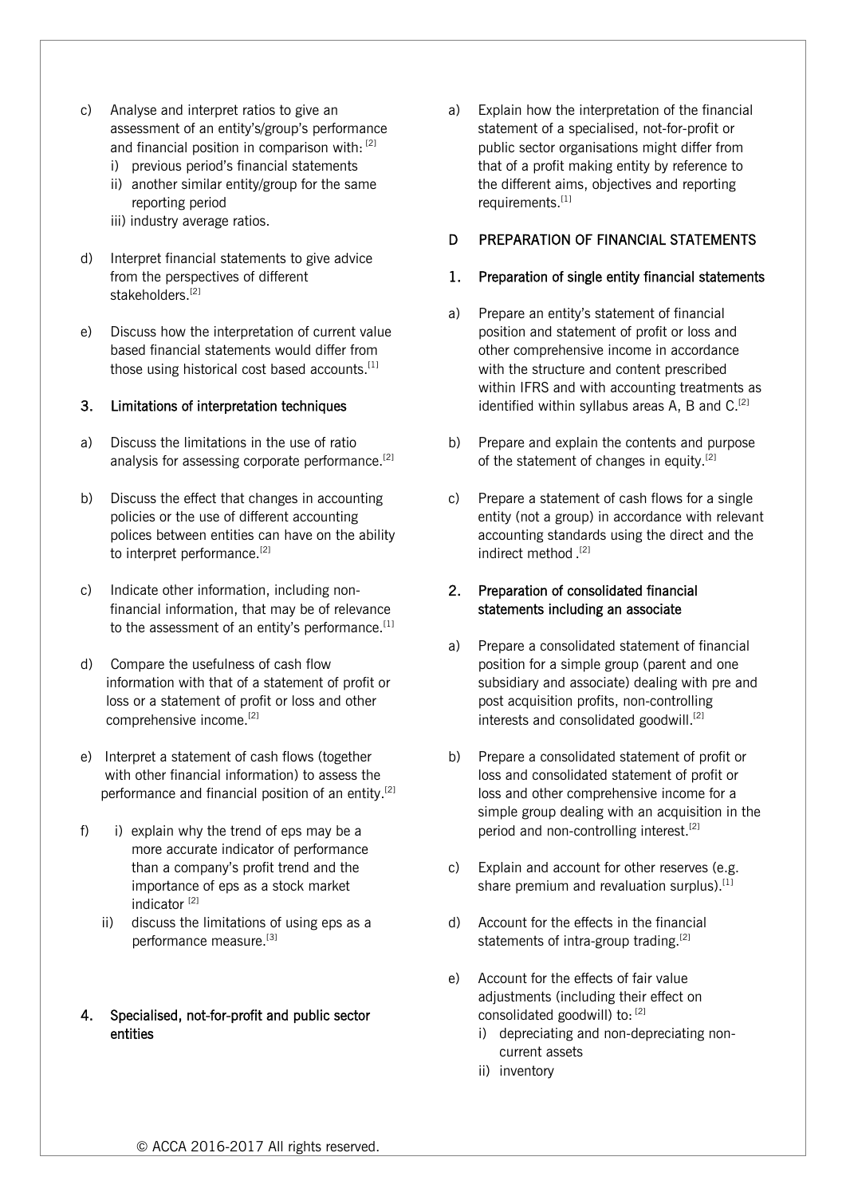- c) Analyse and interpret ratios to give an assessment of an entity's/group's performance and financial position in comparison with: [2]
	- i) previous period's financial statements
	- ii) another similar entity/group for the same reporting period
	- iii) industry average ratios.
- d) Interpret financial statements to give advice from the perspectives of different stakeholders.<sup>[2]</sup>
- e) Discuss how the interpretation of current value based financial statements would differ from those using historical cost based accounts.<sup>[1]</sup>

#### 3. Limitations of interpretation techniques

- a) Discuss the limitations in the use of ratio analysis for assessing corporate performance.<sup>[2]</sup>
- b) Discuss the effect that changes in accounting policies or the use of different accounting polices between entities can have on the ability to interpret performance.<sup>[2]</sup>
- c) Indicate other information, including nonfinancial information, that may be of relevance to the assessment of an entity's performance.<sup>[1]</sup>
- d) Compare the usefulness of cash flow information with that of a statement of profit or loss or a statement of profit or loss and other comprehensive income.[2]
- e) Interpret a statement of cash flows (together with other financial information) to assess the performance and financial position of an entity.<sup>[2]</sup>
- f) i) explain why the trend of eps may be a more accurate indicator of performance than a company's profit trend and the importance of eps as a stock market indicator<sup>[2]</sup>
	- ii) discuss the limitations of using eps as a performance measure.[3]

## 4. Specialised, not-for-profit and public sector entities

a) Explain how the interpretation of the financial statement of a specialised, not-for-profit or public sector organisations might differ from that of a profit making entity by reference to the different aims, objectives and reporting requirements.<sup>[1]</sup>

### D **PREPARATION OF FINANCIAL STATEMENTS**

#### 1. Preparation of single entity financial statements

- a) Prepare an entity's statement of financial position and statement of profit or loss and other comprehensive income in accordance with the structure and content prescribed within IFRS and with accounting treatments as identified within syllabus areas A, B and  $C^{[2]}$
- b) Prepare and explain the contents and purpose of the statement of changes in equity.<sup>[2]</sup>
- c) Prepare a statement of cash flows for a single entity (not a group) in accordance with relevant accounting standards using the direct and the indirect method.<sup>[2]</sup>

## 2. Preparation of consolidated financial statements including an associate

- a) Prepare a consolidated statement of financial position for a simple group (parent and one subsidiary and associate) dealing with pre and post acquisition profits, non-controlling interests and consolidated goodwill.<sup>[2]</sup>
- b) Prepare a consolidated statement of profit or loss and consolidated statement of profit or loss and other comprehensive income for a simple group dealing with an acquisition in the period and non-controlling interest.<sup>[2]</sup>
- c) Explain and account for other reserves (e.g. share premium and revaluation surplus).<sup>[1]</sup>
- d) Account for the effects in the financial statements of intra-group trading.<sup>[2]</sup>
- e) Account for the effects of fair value adjustments (including their effect on consolidated goodwill) to: [2]
	- i) depreciating and non-depreciating noncurrent assets
	- ii) inventory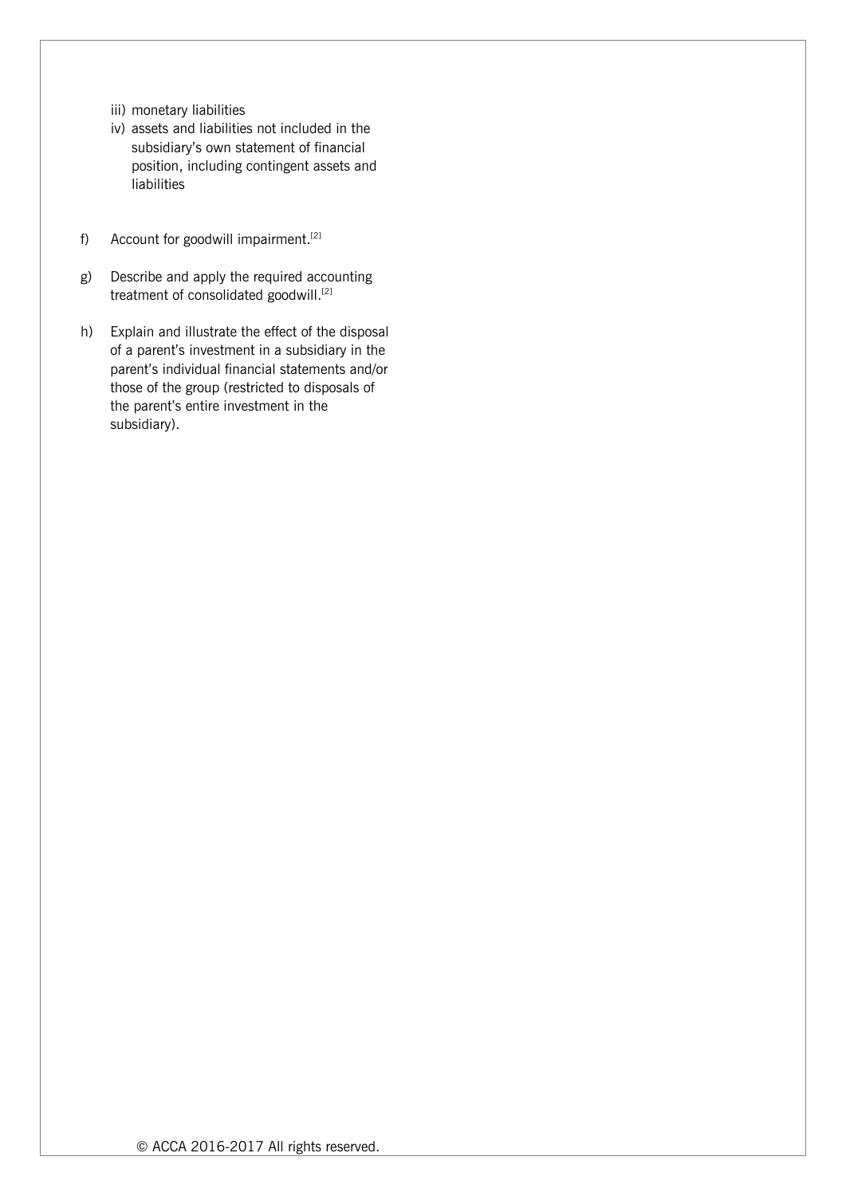- iii) monetary liabilities
- iv) assets and liabilities not included in the subsidiary's own statement of financial position, including contingent assets and liabilities
- f) Account for goodwill impairment.<sup>[2]</sup>
- g) Describe and apply the required accounting treatment of consolidated goodwill.<sup>[2]</sup>
- h) Explain and illustrate the effect of the disposal of a parent's investment in a subsidiary in the parent's individual financial statements and/or those of the group (restricted to disposals of the parent's entire investment in the subsidiary).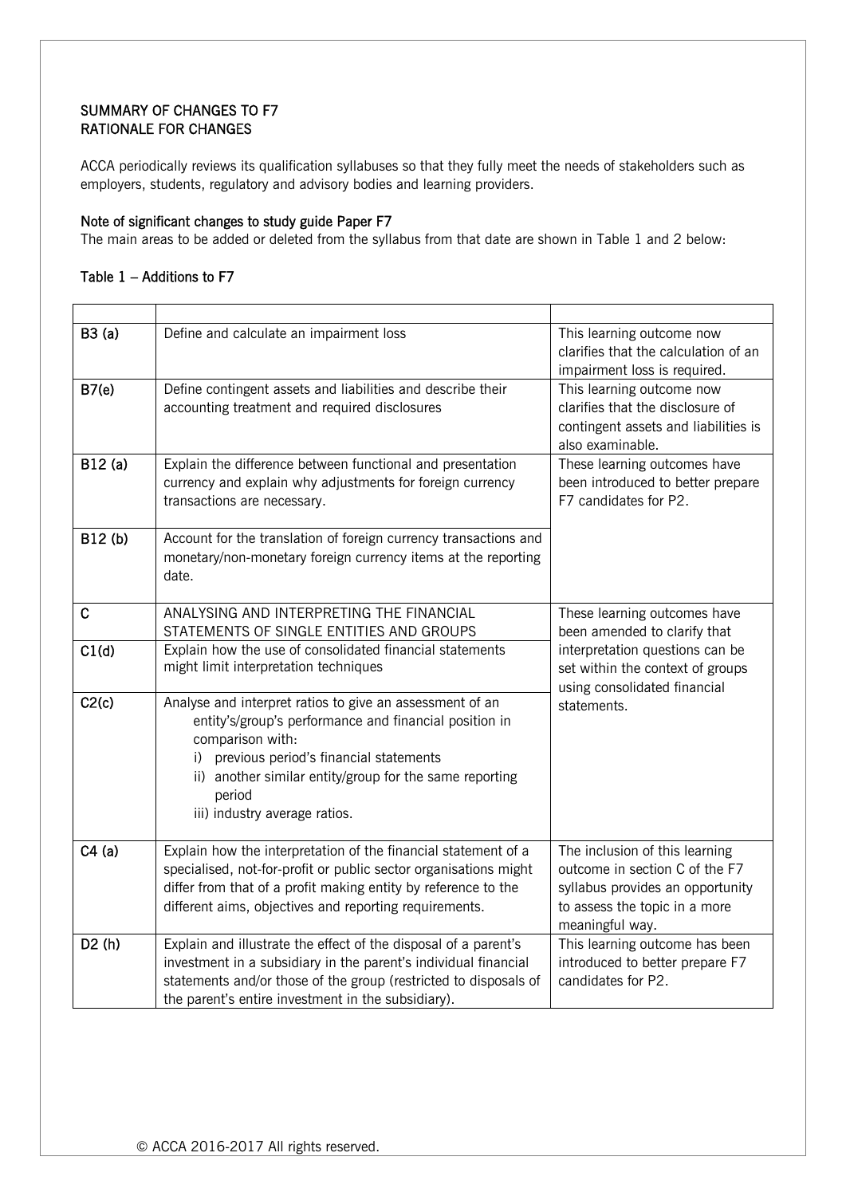# SUMMARY OF CHANGES TO F7 RATIONALE FOR CHANGES

ACCA periodically reviews its qualification syllabuses so that they fully meet the needs of stakeholders such as employers, students, regulatory and advisory bodies and learning providers.

## Note of significant changes to study guide Paper F7

The main areas to be added or deleted from the syllabus from that date are shown in Table 1 and 2 below:

# Table 1 – Additions to F7

| B3(a)       | Define and calculate an impairment loss                                                                                                                                                                                                                                                   | This learning outcome now<br>clarifies that the calculation of an<br>impairment loss is required.                                                        |
|-------------|-------------------------------------------------------------------------------------------------------------------------------------------------------------------------------------------------------------------------------------------------------------------------------------------|----------------------------------------------------------------------------------------------------------------------------------------------------------|
| B7(e)       | Define contingent assets and liabilities and describe their<br>accounting treatment and required disclosures                                                                                                                                                                              | This learning outcome now<br>clarifies that the disclosure of<br>contingent assets and liabilities is<br>also examinable.                                |
| B12(a)      | Explain the difference between functional and presentation<br>currency and explain why adjustments for foreign currency<br>transactions are necessary.                                                                                                                                    | These learning outcomes have<br>been introduced to better prepare<br>F7 candidates for P2.                                                               |
| B12(b)      | Account for the translation of foreign currency transactions and<br>monetary/non-monetary foreign currency items at the reporting<br>date.                                                                                                                                                |                                                                                                                                                          |
| $\mathbf C$ | ANALYSING AND INTERPRETING THE FINANCIAL<br>STATEMENTS OF SINGLE ENTITIES AND GROUPS                                                                                                                                                                                                      | These learning outcomes have<br>been amended to clarify that                                                                                             |
| C1(d)       | Explain how the use of consolidated financial statements<br>might limit interpretation techniques                                                                                                                                                                                         | interpretation questions can be<br>set within the context of groups<br>using consolidated financial<br>statements.                                       |
| C2(c)       | Analyse and interpret ratios to give an assessment of an<br>entity's/group's performance and financial position in<br>comparison with:<br>i) previous period's financial statements<br>ii) another similar entity/group for the same reporting<br>period<br>iii) industry average ratios. |                                                                                                                                                          |
| C4(a)       | Explain how the interpretation of the financial statement of a<br>specialised, not-for-profit or public sector organisations might<br>differ from that of a profit making entity by reference to the<br>different aims, objectives and reporting requirements.                            | The inclusion of this learning<br>outcome in section C of the F7<br>syllabus provides an opportunity<br>to assess the topic in a more<br>meaningful way. |
| D2(h)       | Explain and illustrate the effect of the disposal of a parent's<br>investment in a subsidiary in the parent's individual financial<br>statements and/or those of the group (restricted to disposals of<br>the parent's entire investment in the subsidiary).                              | This learning outcome has been<br>introduced to better prepare F7<br>candidates for P2.                                                                  |